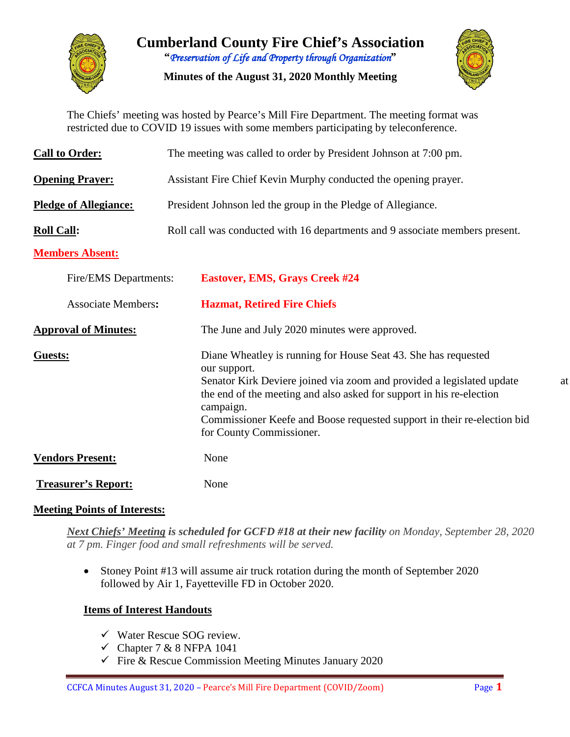

**Cumberland County Fire Chief's Association "***Preservation of Life and Property through Organization***"**

**Minutes of the August 31, 2020 Monthly Meeting**



The Chiefs' meeting was hosted by Pearce's Mill Fire Department. The meeting format was restricted due to COVID 19 issues with some members participating by teleconference.

| <b>Call to Order:</b>        | The meeting was called to order by President Johnson at 7:00 pm.                                                                                                                                                                                                                                                                                          |
|------------------------------|-----------------------------------------------------------------------------------------------------------------------------------------------------------------------------------------------------------------------------------------------------------------------------------------------------------------------------------------------------------|
| <b>Opening Prayer:</b>       | Assistant Fire Chief Kevin Murphy conducted the opening prayer.                                                                                                                                                                                                                                                                                           |
| <b>Pledge of Allegiance:</b> | President Johnson led the group in the Pledge of Allegiance.                                                                                                                                                                                                                                                                                              |
| <b>Roll Call:</b>            | Roll call was conducted with 16 departments and 9 associate members present.                                                                                                                                                                                                                                                                              |
| <b>Members Absent:</b>       |                                                                                                                                                                                                                                                                                                                                                           |
| Fire/EMS Departments:        | <b>Eastover, EMS, Grays Creek #24</b>                                                                                                                                                                                                                                                                                                                     |
| <b>Associate Members:</b>    | <b>Hazmat, Retired Fire Chiefs</b>                                                                                                                                                                                                                                                                                                                        |
| <b>Approval of Minutes:</b>  | The June and July 2020 minutes were approved.                                                                                                                                                                                                                                                                                                             |
| <b>Guests:</b>               | Diane Wheatley is running for House Seat 43. She has requested<br>our support.<br>Senator Kirk Deviere joined via zoom and provided a legislated update<br>at<br>the end of the meeting and also asked for support in his re-election<br>campaign.<br>Commissioner Keefe and Boose requested support in their re-election bid<br>for County Commissioner. |
| <b>Vendors Present:</b>      | None                                                                                                                                                                                                                                                                                                                                                      |
| <b>Treasurer's Report:</b>   | None                                                                                                                                                                                                                                                                                                                                                      |

### **Meeting Points of Interests:**

*Next Chiefs' Meeting is scheduled for GCFD #18 at their new facility on Monday, September 28, 2020 at 7 pm. Finger food and small refreshments will be served.* 

• Stoney Point #13 will assume air truck rotation during the month of September 2020 followed by Air 1, Fayetteville FD in October 2020.

### **Items of Interest Handouts**

- $\checkmark$  Water Rescue SOG review.
- $\checkmark$  Chapter 7 & 8 NFPA 1041
- $\checkmark$  Fire & Rescue Commission Meeting Minutes January 2020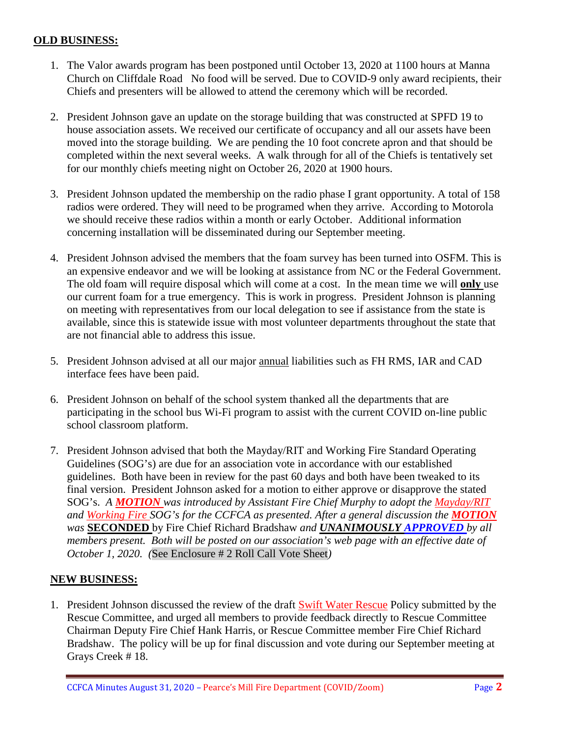#### **OLD BUSINESS:**

- 1. The Valor awards program has been postponed until October 13, 2020 at 1100 hours at Manna Church on Cliffdale Road No food will be served. Due to COVID-9 only award recipients, their Chiefs and presenters will be allowed to attend the ceremony which will be recorded.
- 2. President Johnson gave an update on the storage building that was constructed at SPFD 19 to house association assets. We received our certificate of occupancy and all our assets have been moved into the storage building. We are pending the 10 foot concrete apron and that should be completed within the next several weeks. A walk through for all of the Chiefs is tentatively set for our monthly chiefs meeting night on October 26, 2020 at 1900 hours.
- 3. President Johnson updated the membership on the radio phase I grant opportunity. A total of 158 radios were ordered. They will need to be programed when they arrive. According to Motorola we should receive these radios within a month or early October. Additional information concerning installation will be disseminated during our September meeting.
- 4. President Johnson advised the members that the foam survey has been turned into OSFM. This is an expensive endeavor and we will be looking at assistance from NC or the Federal Government. The old foam will require disposal which will come at a cost. In the mean time we will **only** use our current foam for a true emergency. This is work in progress. President Johnson is planning on meeting with representatives from our local delegation to see if assistance from the state is available, since this is statewide issue with most volunteer departments throughout the state that are not financial able to address this issue.
- 5. President Johnson advised at all our major annual liabilities such as FH RMS, IAR and CAD interface fees have been paid.
- 6. President Johnson on behalf of the school system thanked all the departments that are participating in the school bus Wi-Fi program to assist with the current COVID on-line public school classroom platform.
- 7. President Johnson advised that both the Mayday/RIT and Working Fire Standard Operating Guidelines (SOG's) are due for an association vote in accordance with our established guidelines. Both have been in review for the past 60 days and both have been tweaked to its final version. President Johnson asked for a motion to either approve or disapprove the stated SOG's. *A MOTION was introduced by Assistant Fire Chief Murphy to adopt the Mayday/RIT and Working Fire SOG's for the CCFCA as presented. After a general discussion the MOTION was* **SECONDED** by Fire Chief Richard Bradshaw *and UNANIMOUSLY APPROVED by all members present. Both will be posted on our association's web page with an effective date of October 1, 2020. (*See Enclosure # 2 Roll Call Vote Sheet*)*

### **NEW BUSINESS:**

1. President Johnson discussed the review of the draft Swift Water Rescue Policy submitted by the Rescue Committee, and urged all members to provide feedback directly to Rescue Committee Chairman Deputy Fire Chief Hank Harris, or Rescue Committee member Fire Chief Richard Bradshaw. The policy will be up for final discussion and vote during our September meeting at Grays Creek # 18.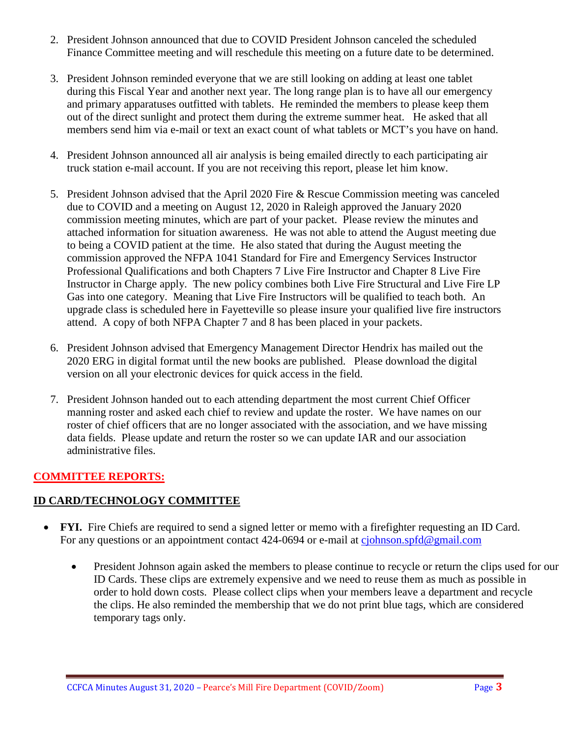- 2. President Johnson announced that due to COVID President Johnson canceled the scheduled Finance Committee meeting and will reschedule this meeting on a future date to be determined.
- 3. President Johnson reminded everyone that we are still looking on adding at least one tablet during this Fiscal Year and another next year. The long range plan is to have all our emergency and primary apparatuses outfitted with tablets. He reminded the members to please keep them out of the direct sunlight and protect them during the extreme summer heat. He asked that all members send him via e-mail or text an exact count of what tablets or MCT's you have on hand.
- 4. President Johnson announced all air analysis is being emailed directly to each participating air truck station e-mail account. If you are not receiving this report, please let him know.
- 5. President Johnson advised that the April 2020 Fire & Rescue Commission meeting was canceled due to COVID and a meeting on August 12, 2020 in Raleigh approved the January 2020 commission meeting minutes, which are part of your packet. Please review the minutes and attached information for situation awareness. He was not able to attend the August meeting due to being a COVID patient at the time. He also stated that during the August meeting the commission approved the NFPA 1041 Standard for Fire and Emergency Services Instructor Professional Qualifications and both Chapters 7 Live Fire Instructor and Chapter 8 Live Fire Instructor in Charge apply. The new policy combines both Live Fire Structural and Live Fire LP Gas into one category. Meaning that Live Fire Instructors will be qualified to teach both. An upgrade class is scheduled here in Fayetteville so please insure your qualified live fire instructors attend. A copy of both NFPA Chapter 7 and 8 has been placed in your packets.
- 6. President Johnson advised that Emergency Management Director Hendrix has mailed out the 2020 ERG in digital format until the new books are published. Please download the digital version on all your electronic devices for quick access in the field.
- 7. President Johnson handed out to each attending department the most current Chief Officer manning roster and asked each chief to review and update the roster. We have names on our roster of chief officers that are no longer associated with the association, and we have missing data fields. Please update and return the roster so we can update IAR and our association administrative files.

# **COMMITTEE REPORTS:**

### **ID CARD/TECHNOLOGY COMMITTEE**

- **FYI.** Fire Chiefs are required to send a signed letter or memo with a firefighter requesting an ID Card. For any questions or an appointment contact 424-0694 or e-mail at [cjohnson.spfd@gmail.com](mailto:cjohnson.spfd@gmail.com)
	- President Johnson again asked the members to please continue to recycle or return the clips used for our ID Cards. These clips are extremely expensive and we need to reuse them as much as possible in order to hold down costs. Please collect clips when your members leave a department and recycle the clips. He also reminded the membership that we do not print blue tags, which are considered temporary tags only.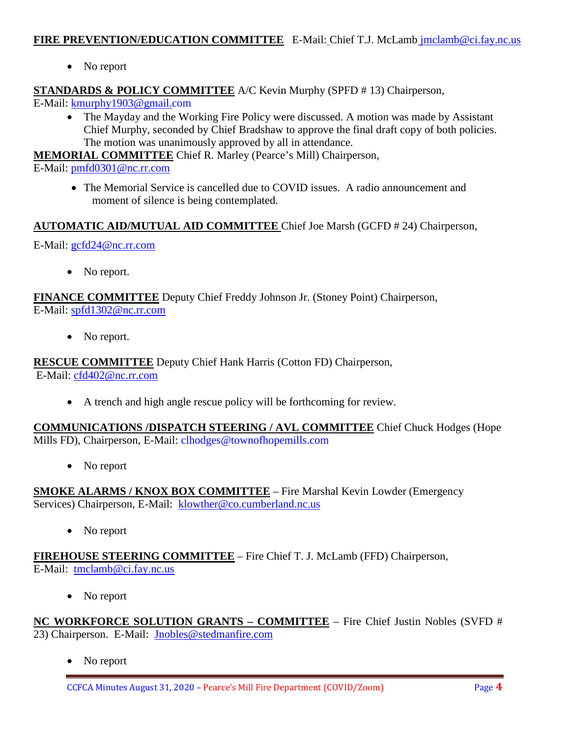#### FIRE PREVENTION/EDUCATION COMMITTEE E-Mail: Chief T.J. McLamb [jmclamb@ci.fay.nc.us](mailto:jmclamb@ci.fay.nc.us)

• No report

# **STANDARDS & POLICY COMMITTEE** A/C Kevin Murphy (SPFD # 13) Chairperson,

E-Mail: [kmurphy1903@gmail.com](mailto:kmurphy1903@gmail.com)

• The Mayday and the Working Fire Policy were discussed. A motion was made by Assistant Chief Murphy, seconded by Chief Bradshaw to approve the final draft copy of both policies. The motion was unanimously approved by all in attendance.

**MEMORIAL COMMITTEE** Chief R. Marley (Pearce's Mill) Chairperson,

E-Mail: [pmfd0301@nc.rr.com](mailto:pmfd0301@nc.rr.com)

• The Memorial Service is cancelled due to COVID issues. A radio announcement and moment of silence is being contemplated.

# **AUTOMATIC AID/MUTUAL AID COMMITTEE** Chief Joe Marsh (GCFD # 24) Chairperson,

E-Mail: [gcfd24@nc.rr.com](mailto:gcfd24@nc.rr.com)

• No report.

**FINANCE COMMITTEE** Deputy Chief Freddy Johnson Jr. (Stoney Point) Chairperson, E-Mail: [spfd1302@nc.rr.com](mailto:spfd1302@nc.rr.com)

• No report.

**RESCUE COMMITTEE** Deputy Chief Hank Harris (Cotton FD) Chairperson,

E-Mail: [cfd402@nc.rr.com](mailto:cfd402@nc.rr.com)

• A trench and high angle rescue policy will be forthcoming for review.

**COMMUNICATIONS /DISPATCH STEERING / AVL COMMITTEE** Chief Chuck Hodges (Hope Mills FD), Chairperson, E-Mail: clhodges@townofhopemills.com

• No report

**SMOKE ALARMS / KNOX BOX COMMITTEE** – Fire Marshal Kevin Lowder (Emergency Services) Chairperson, E-Mail: [klowther@co.cumberland.nc.us](mailto:klowther@co.cumberland.nc.us)

• No report

**FIREHOUSE STEERING COMMITTEE** – Fire Chief T. J. McLamb (FFD) Chairperson, E-Mail: [tmclamb@ci.fay.nc.us](mailto:tmclamb@ci.fay.nc.us)

• No report

**NC WORKFORCE SOLUTION GRANTS – COMMITTEE** – Fire Chief Justin Nobles (SVFD # 23) Chairperson. E-Mail: [Jnobles@stedmanfire.com](mailto:Jnobles@stedmanfire.com)

• No report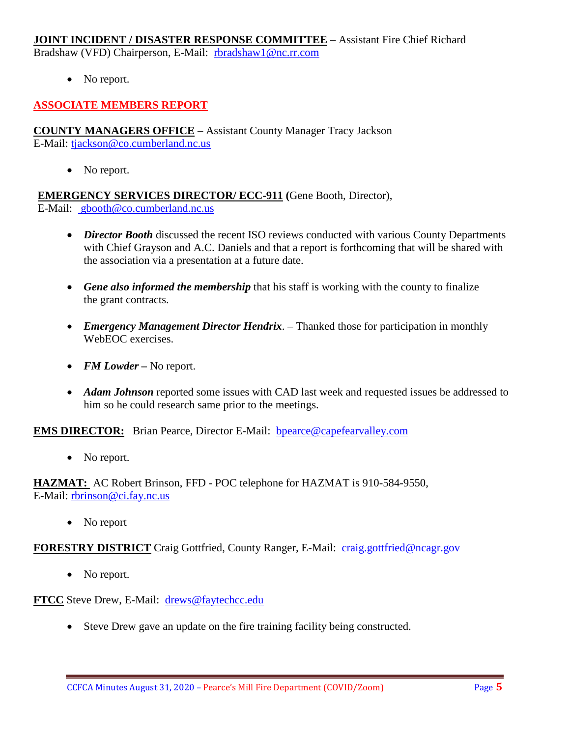# **JOINT INCIDENT / DISASTER RESPONSE COMMITTEE** – Assistant Fire Chief Richard

Bradshaw (VFD) Chairperson, E-Mail: [rbradshaw1@nc.rr.com](mailto:rbradshaw1@nc.rr.com)

• No report.

# **ASSOCIATE MEMBERS REPORT**

**COUNTY MANAGERS OFFICE** – Assistant County Manager Tracy Jackson E-Mail: [tjackson@co.cumberland.nc.us](mailto:tjackson@co.cumberland.nc.us)

• No report.

**EMERGENCY SERVICES DIRECTOR/ ECC-911 (**Gene Booth, Director), E-Mail: [gbooth@co.cumberland.nc.us](mailto:gbooth@co.cumberland.nc.us)

- *Director Booth* discussed the recent ISO reviews conducted with various County Departments with Chief Grayson and A.C. Daniels and that a report is forthcoming that will be shared with the association via a presentation at a future date.
- *Gene also informed the membership* that his staff is working with the county to finalize the grant contracts.
- *Emergency Management Director Hendrix*. Thanked those for participation in monthly WebEOC exercises.
- *FM Lowder* No report.
- *Adam Johnson* reported some issues with CAD last week and requested issues be addressed to him so he could research same prior to the meetings.

**EMS DIRECTOR:** Brian Pearce, Director E-Mail: bpearce@capefearvalley.com

• No report.

**HAZMAT:** AC Robert Brinson, FFD - POC telephone for HAZMAT is 910-584-9550, E-Mail: [rbrinson@ci.fay.nc.us](mailto:rbrinson@ci.fay.nc.us)

• No report

### **FORESTRY DISTRICT** Craig Gottfried, County Ranger, E-Mail: [craig.gottfried@ncagr.gov](mailto:craig.gottfried@ncagr.gov)

• No report.

**FTCC** Steve Drew, E-Mail: [drews@faytechcc.edu](mailto:drews@faytechcc.edu)

• Steve Drew gave an update on the fire training facility being constructed.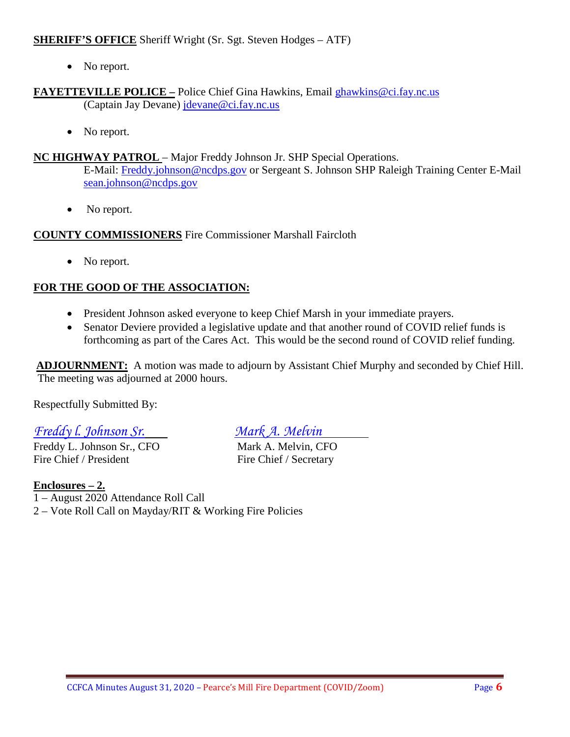### **SHERIFF'S OFFICE** Sheriff Wright (Sr. Sgt. Steven Hodges – ATF)

• No report.

**FAYETTEVILLE POLICE –** Police Chief Gina Hawkins, Email [ghawkins@ci.fay.nc.us](mailto:ghawkins@ci.fay.nc.us)  (Captain Jay Devane) [jdevane@ci.fay.nc.us](mailto:jdevane@ci.fay.nc.us)

• No report.

### **NC HIGHWAY PATROL** – Major Freddy Johnson Jr. SHP Special Operations.

E-Mail: [Freddy.johnson@ncdps.gov](mailto:Freddy.johnson@ncdps.gov) or Sergeant S. Johnson SHP Raleigh Training Center E-Mail [sean.johnson@ncdps.gov](mailto:sean.johnson@ncdps.gov)

• No report.

### **COUNTY COMMISSIONERS** Fire Commissioner Marshall Faircloth

• No report.

# **FOR THE GOOD OF THE ASSOCIATION:**

- President Johnson asked everyone to keep Chief Marsh in your immediate prayers.
- Senator Deviere provided a legislative update and that another round of COVID relief funds is forthcoming as part of the Cares Act. This would be the second round of COVID relief funding.

**ADJOURNMENT:** A motion was made to adjourn by Assistant Chief Murphy and seconded by Chief Hill. The meeting was adjourned at 2000 hours.

Respectfully Submitted By:

# *Freddy l. Johnson Sr. Mark A. Melvin*

Freddy L. Johnson Sr., CFO Mark A. Melvin, CFO Fire Chief / President Fire Chief / Secretary

### **Enclosures – 2.**

1 – August 2020 Attendance Roll Call

2 – Vote Roll Call on Mayday/RIT & Working Fire Policies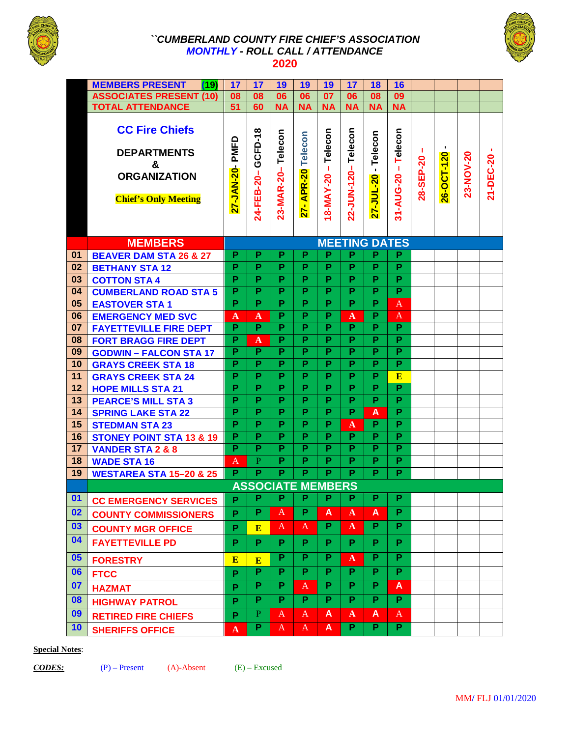

#### *``CUMBERLAND COUNTY FIRE CHIEF'S ASSOCIATION MONTHLY - ROLL CALL / ATTENDANCE*  **2020**



|    | <b>MEMBERS PRESENT</b><br>(19)                                                                         | 17                      | 17                    | 19                       | 19                          | 19                                  | 17                      | 18                      | 16                         |           |                 |           |           |
|----|--------------------------------------------------------------------------------------------------------|-------------------------|-----------------------|--------------------------|-----------------------------|-------------------------------------|-------------------------|-------------------------|----------------------------|-----------|-----------------|-----------|-----------|
|    | <b>ASSOCIATES PRESENT (10)</b>                                                                         | 08                      | 08                    | 06                       | 06                          | $\overline{07}$                     | 06                      | 08                      | $\overline{09}$            |           |                 |           |           |
|    | <b>TOTAL ATTENDANCE</b>                                                                                |                         | 60                    | <b>NA</b>                | <b>NA</b>                   | <b>NA</b>                           | <b>NA</b>               | <b>NA</b>               | <b>NA</b>                  |           |                 |           |           |
|    | <b>CC Fire Chiefs</b><br><b>DEPARTMENTS</b><br>&<br><b>ORGANIZATION</b><br><b>Chief's Only Meeting</b> | PMFD<br>27-JAN-20-      | GCFD-18<br>24-FEB-20- | 23-MAR-20-Telecon        | Telecon<br>APR-20<br>$27 -$ | Telecon<br>$\mathbf I$<br>18-MAY-20 | 22-JUN-120-Telecon      | Telecon<br>27-JUL-20 -  | Telecon<br>Ĭ.<br>31-AUG-20 | 28-SEP-20 | ٠<br>26-OCT-120 | 23-NOV-20 | 21-DEC-20 |
|    | <b>MEMBERS</b>                                                                                         | <b>MEETING DATES</b>    |                       |                          |                             |                                     |                         |                         |                            |           |                 |           |           |
| 01 | <b>BEAVER DAM STA 26 &amp; 27</b>                                                                      | P                       | P                     | P                        | P                           | P                                   | P                       | P                       | P                          |           |                 |           |           |
| 02 | <b>BETHANY STA 12</b>                                                                                  | P                       | P                     | P                        | P                           | P                                   | P                       | P                       | $\overline{P}$             |           |                 |           |           |
| 03 | <b>COTTON STA 4</b>                                                                                    | P                       | P                     | P                        | P                           | P                                   | P                       | $\overline{P}$          | $\overline{P}$             |           |                 |           |           |
| 04 | <b>CUMBERLAND ROAD STA 5</b>                                                                           | $\overline{\mathsf{P}}$ | P                     | $\overline{P}$           | P                           | P                                   | P                       | $\overline{\mathsf{P}}$ | $\overline{\mathsf{P}}$    |           |                 |           |           |
| 05 | <b>EASTOVER STA1</b>                                                                                   | P                       | P                     | P                        | P                           | P                                   | P                       | P                       | A                          |           |                 |           |           |
| 06 | <b>EMERGENCY MED SVC</b>                                                                               | A                       | A                     | P                        | P                           | P                                   | $\mathbf A$             | P                       | A                          |           |                 |           |           |
| 07 | <b>FAYETTEVILLE FIRE DEPT</b>                                                                          | $\overline{P}$          | $\overline{P}$        | $\overline{P}$           | $\overline{P}$              | P                                   | P                       | P                       | $\overline{P}$             |           |                 |           |           |
| 08 | <b>FORT BRAGG FIRE DEPT</b>                                                                            | P                       | $\mathbf{A}$          | P                        | P                           | P                                   | P                       | P                       | P                          |           |                 |           |           |
| 09 | <b>GODWIN - FALCON STA 17</b>                                                                          | P                       | P                     | P                        | P                           | P                                   | P                       | P                       | $\overline{P}$             |           |                 |           |           |
| 10 | <b>GRAYS CREEK STA 18</b>                                                                              | $\overline{\mathsf{P}}$ | $\overline{P}$        | $\overline{\mathsf{P}}$  | $\overline{\mathsf{P}}$     | $\overline{\mathsf{P}}$             | $\overline{\mathsf{P}}$ | $\overline{\mathsf{P}}$ | $\overline{\mathsf{P}}$    |           |                 |           |           |
| 11 | <b>GRAYS CREEK STA 24</b>                                                                              | P                       | P                     | P                        | P                           | P                                   | P                       | P                       | E                          |           |                 |           |           |
| 12 | <b>HOPE MILLS STA 21</b>                                                                               | P                       | P                     | P                        | P                           | P                                   | P                       | P                       | $\overline{P}$             |           |                 |           |           |
| 13 | <b>PEARCE'S MILL STA 3</b>                                                                             | P                       | $\overline{P}$        | P                        | P                           | $\overline{\mathsf{P}}$             | $\overline{\mathsf{P}}$ | P                       | $\overline{\mathsf{P}}$    |           |                 |           |           |
| 14 | <b>SPRING LAKE STA 22</b>                                                                              | P                       | P                     | P                        | P                           | P                                   | P                       | A                       | $\overline{P}$             |           |                 |           |           |
| 15 | <b>STEDMAN STA 23</b>                                                                                  | P                       | P                     | P                        | P                           | P                                   | $\mathbf A$             | P                       | $\overline{P}$             |           |                 |           |           |
| 16 | <b>STONEY POINT STA 13 &amp; 19</b>                                                                    | $\overline{\mathsf{P}}$ | P                     | P                        | P                           | P                                   | P                       | P                       | $\overline{\mathsf{P}}$    |           |                 |           |           |
| 17 | <b>VANDER STA 2 &amp; 8</b>                                                                            | P                       | P                     | P                        | P                           | P                                   | P                       | P                       | P                          |           |                 |           |           |
| 18 | <b>WADE STA 16</b>                                                                                     | A                       | $\mathbf{P}$          | P                        | P                           | P                                   | P                       | P                       | $\overline{P}$             |           |                 |           |           |
| 19 | <b>WESTAREA STA 15-20 &amp; 25</b>                                                                     | $\overline{P}$          | $\overline{P}$        | P                        | P                           | P                                   | P.                      | $\overline{P}$          | $\overline{\mathsf{P}}$    |           |                 |           |           |
|    |                                                                                                        |                         |                       | <b>ASSOCIATE MEMBERS</b> |                             |                                     |                         |                         |                            |           |                 |           |           |
| 01 | <b>CC EMERGENCY SERVICES</b>                                                                           | P                       | P                     | P                        | P                           | P                                   | P                       | P                       | P                          |           |                 |           |           |
| 02 | <b>COUNTY COMMISSIONERS</b>                                                                            | P                       | P                     | A                        | P                           | A                                   | $\mathbf{A}$            | A                       | P.                         |           |                 |           |           |
| 03 | <b>COUNTY MGR OFFICE</b>                                                                               | P                       | E                     | A                        | A                           | P.                                  | A                       | P.                      | P.                         |           |                 |           |           |
| 04 | <b>FAYETTEVILLE PD</b>                                                                                 | P                       | P                     | P                        | P                           | P                                   | P.                      | P                       | P.                         |           |                 |           |           |
| 05 | <b>FORESTRY</b>                                                                                        | E                       | E                     | P                        | P                           | P                                   | $\mathbf{A}$            | P                       | P                          |           |                 |           |           |
| 06 | <b>FTCC</b>                                                                                            | P                       | P                     | P                        | P                           | P                                   | P                       | P                       | P                          |           |                 |           |           |
| 07 | <b>HAZMAT</b>                                                                                          | P                       | P                     | P                        | $\mathbf{A}$                | P                                   | P                       | P                       | A                          |           |                 |           |           |
| 08 | <b>HIGHWAY PATROL</b>                                                                                  | P                       | P                     | P                        | P.                          | P                                   | P                       | P                       | P.                         |           |                 |           |           |
| 09 | <b>RETIRED FIRE CHIEFS</b>                                                                             | P                       | $\, {\bf P}$          | $\mathbf{A}$             | A                           | A                                   | $\mathbf{A}$            | A                       | $\mathbf{A}$               |           |                 |           |           |
| 10 | <b>SHERIFFS OFFICE</b>                                                                                 | $\mathbf{A}$            | P                     | A                        | A                           | A                                   | P.                      | P.                      | P.                         |           |                 |           |           |

#### **Special Notes**: